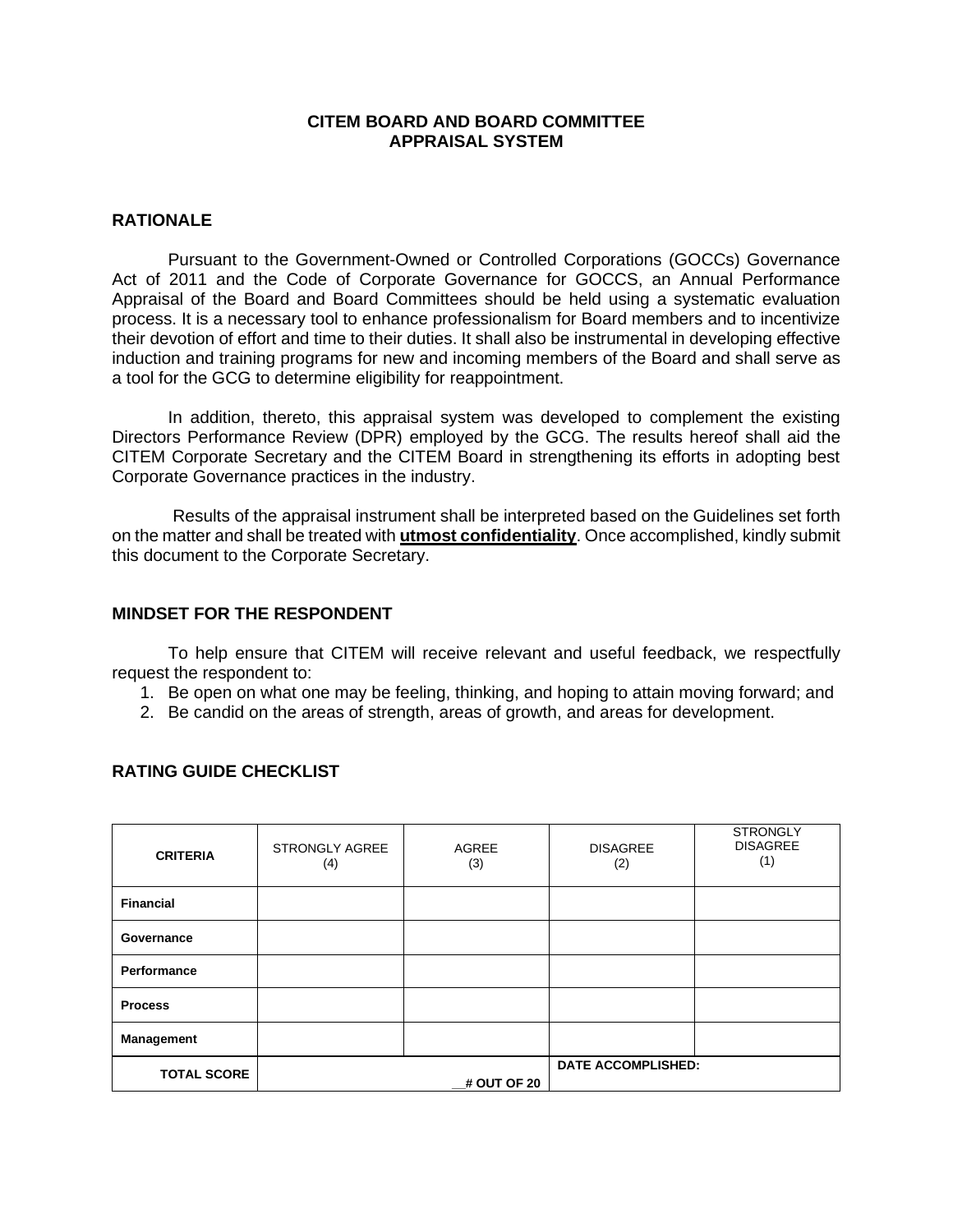### **CITEM BOARD AND BOARD COMMITTEE APPRAISAL SYSTEM**

### **RATIONALE**

Pursuant to the Government-Owned or Controlled Corporations (GOCCs) Governance Act of 2011 and the Code of Corporate Governance for GOCCS, an Annual Performance Appraisal of the Board and Board Committees should be held using a systematic evaluation process. It is a necessary tool to enhance professionalism for Board members and to incentivize their devotion of effort and time to their duties. It shall also be instrumental in developing effective induction and training programs for new and incoming members of the Board and shall serve as a tool for the GCG to determine eligibility for reappointment.

In addition, thereto, this appraisal system was developed to complement the existing Directors Performance Review (DPR) employed by the GCG. The results hereof shall aid the CITEM Corporate Secretary and the CITEM Board in strengthening its efforts in adopting best Corporate Governance practices in the industry.

Results of the appraisal instrument shall be interpreted based on the Guidelines set forth on the matter and shall be treated with **utmost confidentiality**. Once accomplished, kindly submit this document to the Corporate Secretary.

#### **MINDSET FOR THE RESPONDENT**

To help ensure that CITEM will receive relevant and useful feedback, we respectfully request the respondent to:

- 1. Be open on what one may be feeling, thinking, and hoping to attain moving forward; and
- 2. Be candid on the areas of strength, areas of growth, and areas for development.

## **RATING GUIDE CHECKLIST**

| <b>CRITERIA</b>    | <b>STRONGLY AGREE</b><br>(4) | AGREE<br>(3) | <b>DISAGREE</b><br>(2)    | <b>STRONGLY</b><br><b>DISAGREE</b><br>(1) |
|--------------------|------------------------------|--------------|---------------------------|-------------------------------------------|
| <b>Financial</b>   |                              |              |                           |                                           |
| Governance         |                              |              |                           |                                           |
| Performance        |                              |              |                           |                                           |
| <b>Process</b>     |                              |              |                           |                                           |
| <b>Management</b>  |                              |              |                           |                                           |
| <b>TOTAL SCORE</b> | # OUT OF 20                  |              | <b>DATE ACCOMPLISHED:</b> |                                           |